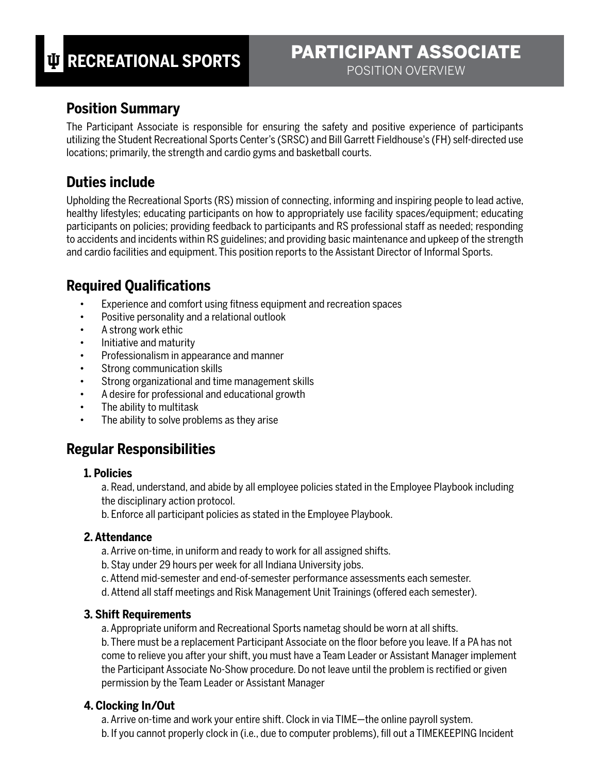## **Position Summary**

The Participant Associate is responsible for ensuring the safety and positive experience of participants utilizing the Student Recreational Sports Center's (SRSC) and Bill Garrett Fieldhouse's (FH) self-directed use locations; primarily, the strength and cardio gyms and basketball courts.

## **Duties include**

Upholding the Recreational Sports (RS) mission of connecting, informing and inspiring people to lead active, healthy lifestyles; educating participants on how to appropriately use facility spaces/equipment; educating participants on policies; providing feedback to participants and RS professional staff as needed; responding to accidents and incidents within RS guidelines; and providing basic maintenance and upkeep of the strength and cardio facilities and equipment. This position reports to the Assistant Director of Informal Sports.

# **Required Qualifications**

- Experience and comfort using fitness equipment and recreation spaces
- Positive personality and a relational outlook
- A strong work ethic
- Initiative and maturity
- Professionalism in appearance and manner
- Strong communication skills
- Strong organizational and time management skills
- A desire for professional and educational growth
- The ability to multitask
- The ability to solve problems as they arise

## **Regular Responsibilities**

#### **1. Policies**

a. Read, understand, and abide by all employee policies stated in the Employee Playbook including the disciplinary action protocol.

b. Enforce all participant policies as stated in the Employee Playbook.

#### **2. Attendance**

- a. Arrive on-time, in uniform and ready to work for all assigned shifts.
- b. Stay under 29 hours per week for all Indiana University jobs.
- c. Attend mid-semester and end-of-semester performance assessments each semester.
- d. Attend all staff meetings and Risk Management Unit Trainings (offered each semester).

#### **3. Shift Requirements**

a. Appropriate uniform and Recreational Sports nametag should be worn at all shifts.

b. There must be a replacement Participant Associate on the floor before you leave. If a PA has not come to relieve you after your shift, you must have a Team Leader or Assistant Manager implement the Participant Associate No-Show procedure. Do not leave until the problem is rectified or given permission by the Team Leader or Assistant Manager

## **4. Clocking In/Out**

- a. Arrive on-time and work your entire shift. Clock in via TIME—the online payroll system.
- b. If you cannot properly clock in (i.e., due to computer problems), fill out a TIMEKEEPING Incident